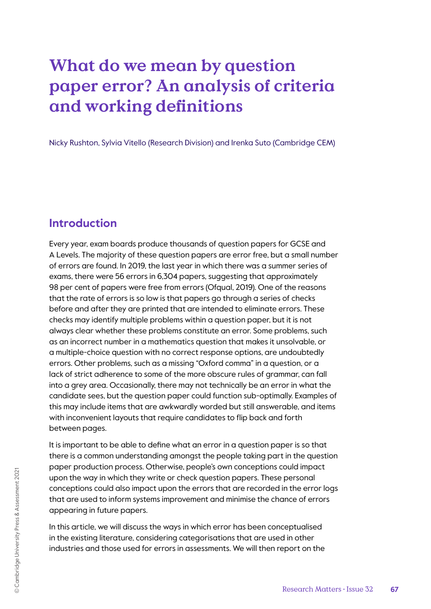# **What do we mean by question paper error? An analysis of criteria and working definitions**

Nicky Rushton, Sylvia Vitello (Research Division) and Irenka Suto (Cambridge CEM)

### **Introduction**

Every year, exam boards produce thousands of question papers for GCSE and A Levels. The majority of these question papers are error free, but a small number of errors are found. In 2019, the last year in which there was a summer series of exams, there were 56 errors in 6,304 papers, suggesting that approximately 98 per cent of papers were free from errors (Ofqual, 2019). One of the reasons that the rate of errors is so low is that papers go through a series of checks before and after they are printed that are intended to eliminate errors. These checks may identify multiple problems within a question paper, but it is not always clear whether these problems constitute an error. Some problems, such as an incorrect number in a mathematics question that makes it unsolvable, or a multiple-choice question with no correct response options, are undoubtedly errors. Other problems, such as a missing "Oxford comma" in a question, or a lack of strict adherence to some of the more obscure rules of grammar, can fall into a grey area. Occasionally, there may not technically be an error in what the candidate sees, but the question paper could function sub-optimally. Examples of this may include items that are awkwardly worded but still answerable, and items with inconvenient layouts that require candidates to flip back and forth between pages.

It is important to be able to define what an error in a question paper is so that there is a common understanding amongst the people taking part in the question paper production process. Otherwise, people's own conceptions could impact upon the way in which they write or check question papers. These personal conceptions could also impact upon the errors that are recorded in the error logs that are used to inform systems improvement and minimise the chance of errors appearing in future papers.

In this article, we will discuss the ways in which error has been conceptualised in the existing literature, considering categorisations that are used in other industries and those used for errors in assessments. We will then report on the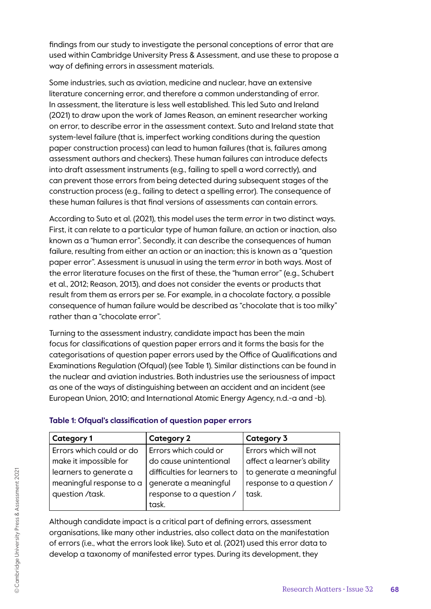findings from our study to investigate the personal conceptions of error that are used within Cambridge University Press & Assessment, and use these to propose a way of defining errors in assessment materials.

Some industries, such as aviation, medicine and nuclear, have an extensive literature concerning error, and therefore a common understanding of error. In assessment, the literature is less well established. This led Suto and Ireland (2021) to draw upon the work of James Reason, an eminent researcher working on error, to describe error in the assessment context. Suto and Ireland state that system-level failure (that is, imperfect working conditions during the question paper construction process) can lead to human failures (that is, failures among assessment authors and checkers). These human failures can introduce defects into draft assessment instruments (e.g., failing to spell a word correctly), and can prevent those errors from being detected during subsequent stages of the construction process (e.g., failing to detect a spelling error). The consequence of these human failures is that final versions of assessments can contain errors.

According to Suto et al. (2021), this model uses the term *error* in two distinct ways. First, it can relate to a particular type of human failure, an action or inaction, also known as a "human error". Secondly, it can describe the consequences of human failure, resulting from either an action or an inaction; this is known as a "question paper error". Assessment is unusual in using the term *error* in both ways. Most of the error literature focuses on the first of these, the "human error" (e.g., Schubert et al., 2012; Reason, 2013), and does not consider the events or products that result from them as errors per se. For example, in a chocolate factory, a possible consequence of human failure would be described as "chocolate that is too milky" rather than a "chocolate error".

Turning to the assessment industry, candidate impact has been the main focus for classifications of question paper errors and it forms the basis for the categorisations of question paper errors used by the Office of Qualifications and Examinations Regulation (Ofqual) (see Table 1). Similar distinctions can be found in the nuclear and aviation industries. Both industries use the seriousness of impact as one of the ways of distinguishing between an accident and an incident (see European Union, 2010; and International Atomic Energy Agency, n.d.-a and -b).

| <b>Category 1</b>        | <b>Category 2</b>            | Category 3                 |
|--------------------------|------------------------------|----------------------------|
| Errors which could or do | Errors which could or        | Errors which will not      |
| make it impossible for   | do cause unintentional       | affect a learner's ability |
| learners to generate a   | difficulties for learners to | to generate a meaningful   |
| meaningful response to a | generate a meaningful        | response to a question /   |
| question /task.          | response to a question /     | task.                      |
|                          | task.                        |                            |

### **Table 1: Ofqual's classification of question paper errors**

Although candidate impact is a critical part of defining errors, assessment organisations, like many other industries, also collect data on the manifestation of errors (i.e., what the errors look like). Suto et al. (2021) used this error data to develop a taxonomy of manifested error types. During its development, they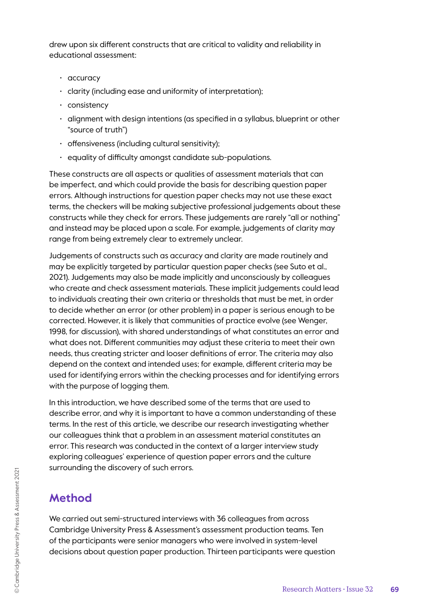drew upon six different constructs that are critical to validity and reliability in educational assessment:

- accuracy
- clarity (including ease and uniformity of interpretation);
- consistency
- alignment with design intentions (as specified in a syllabus, blueprint or other "source of truth")
- offensiveness (including cultural sensitivity);
- equality of difficulty amongst candidate sub-populations.

These constructs are all aspects or qualities of assessment materials that can be imperfect, and which could provide the basis for describing question paper errors. Although instructions for question paper checks may not use these exact terms, the checkers will be making subjective professional judgements about these constructs while they check for errors. These judgements are rarely "all or nothing" and instead may be placed upon a scale. For example, judgements of clarity may range from being extremely clear to extremely unclear.

Judgements of constructs such as accuracy and clarity are made routinely and may be explicitly targeted by particular question paper checks (see Suto et al., 2021). Judgements may also be made implicitly and unconsciously by colleagues who create and check assessment materials. These implicit judgements could lead to individuals creating their own criteria or thresholds that must be met, in order to decide whether an error (or other problem) in a paper is serious enough to be corrected. However, it is likely that communities of practice evolve (see Wenger, 1998, for discussion), with shared understandings of what constitutes an error and what does not. Different communities may adjust these criteria to meet their own needs, thus creating stricter and looser definitions of error. The criteria may also depend on the context and intended uses; for example, different criteria may be used for identifying errors within the checking processes and for identifying errors with the purpose of logging them.

In this introduction, we have described some of the terms that are used to describe error, and why it is important to have a common understanding of these terms. In the rest of this article, we describe our research investigating whether our colleagues think that a problem in an assessment material constitutes an error. This research was conducted in the context of a larger interview study exploring colleagues' experience of question paper errors and the culture surrounding the discovery of such errors.

# **Method**

We carried out semi-structured interviews with 36 colleagues from across Cambridge University Press & Assessment's assessment production teams. Ten of the participants were senior managers who were involved in system-level decisions about question paper production. Thirteen participants were question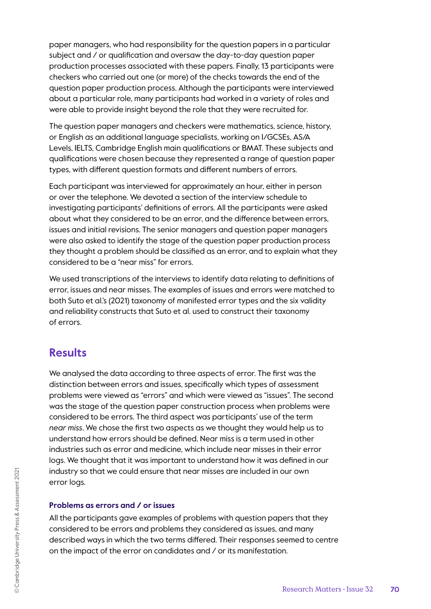paper managers, who had responsibility for the question papers in a particular subject and / or qualification and oversaw the day-to-day question paper production processes associated with these papers. Finally, 13 participants were checkers who carried out one (or more) of the checks towards the end of the question paper production process. Although the participants were interviewed about a particular role, many participants had worked in a variety of roles and were able to provide insight beyond the role that they were recruited for.

The question paper managers and checkers were mathematics, science, history, or English as an additional language specialists, working on I/GCSEs, AS/A Levels, IELTS, Cambridge English main qualifications or BMAT. These subjects and qualifications were chosen because they represented a range of question paper types, with different question formats and different numbers of errors.

Each participant was interviewed for approximately an hour, either in person or over the telephone. We devoted a section of the interview schedule to investigating participants' definitions of errors. All the participants were asked about what they considered to be an error, and the difference between errors, issues and initial revisions. The senior managers and question paper managers were also asked to identify the stage of the question paper production process they thought a problem should be classified as an error, and to explain what they considered to be a "near miss" for errors.

We used transcriptions of the interviews to identify data relating to definitions of error, issues and near misses. The examples of issues and errors were matched to both Suto et al.'s (2021) taxonomy of manifested error types and the six validity and reliability constructs that Suto et al. used to construct their taxonomy of errors.

### **Results**

We analysed the data according to three aspects of error. The first was the distinction between errors and issues, specifically which types of assessment problems were viewed as "errors" and which were viewed as "issues". The second was the stage of the question paper construction process when problems were considered to be errors. The third aspect was participants' use of the term *near miss*. We chose the first two aspects as we thought they would help us to understand how errors should be defined. Near miss is a term used in other industries such as error and medicine, which include near misses in their error logs. We thought that it was important to understand how it was defined in our industry so that we could ensure that near misses are included in our own error logs.

#### **Problems as errors and / or issues**

All the participants gave examples of problems with question papers that they considered to be errors and problems they considered as issues, and many described ways in which the two terms differed. Their responses seemed to centre on the impact of the error on candidates and / or its manifestation.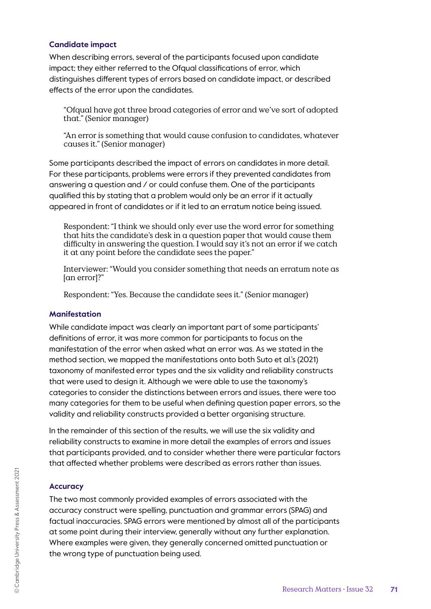#### **Candidate impact**

When describing errors, several of the participants focused upon candidate impact; they either referred to the Ofqual classifications of error, which distinguishes different types of errors based on candidate impact, or described effects of the error upon the candidates.

"Ofqual have got three broad categories of error and we've sort of adopted that." (Senior manager)

"An error is something that would cause confusion to candidates, whatever causes it." (Senior manager)

Some participants described the impact of errors on candidates in more detail. For these participants, problems were errors if they prevented candidates from answering a question and / or could confuse them. One of the participants qualified this by stating that a problem would only be an error if it actually appeared in front of candidates or if it led to an erratum notice being issued.

Respondent: "I think we should only ever use the word error for something that hits the candidate's desk in a question paper that would cause them difficulty in answering the question. I would say it's not an error if we catch it at any point before the candidate sees the paper."

Interviewer: "Would you consider something that needs an erratum note as [an error]?"

Respondent: "Yes. Because the candidate sees it." (Senior manager)

#### **Manifestation**

While candidate impact was clearly an important part of some participants' definitions of error, it was more common for participants to focus on the manifestation of the error when asked what an error was. As we stated in the method section, we mapped the manifestations onto both Suto et al.'s (2021) taxonomy of manifested error types and the six validity and reliability constructs that were used to design it. Although we were able to use the taxonomy's categories to consider the distinctions between errors and issues, there were too many categories for them to be useful when defining question paper errors, so the validity and reliability constructs provided a better organising structure.

In the remainder of this section of the results, we will use the six validity and reliability constructs to examine in more detail the examples of errors and issues that participants provided, and to consider whether there were particular factors that affected whether problems were described as errors rather than issues.

#### **Accuracy**

The two most commonly provided examples of errors associated with the accuracy construct were spelling, punctuation and grammar errors (SPAG) and factual inaccuracies. SPAG errors were mentioned by almost all of the participants at some point during their interview, generally without any further explanation. Where examples were given, they generally concerned omitted punctuation or the wrong type of punctuation being used.

© Cambridge University Press & Assessment 2021

© Cambridge University Press & Assessment 2021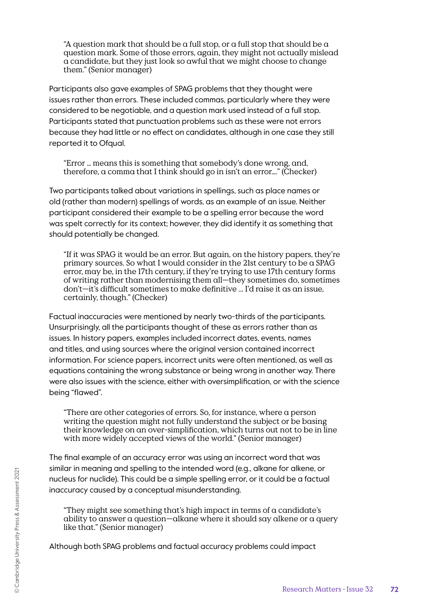"A question mark that should be a full stop, or a full stop that should be a question mark. Some of those errors, again, they might not actually mislead a candidate, but they just look so awful that we might choose to change them." (Senior manager)

Participants also gave examples of SPAG problems that they thought were issues rather than errors. These included commas, particularly where they were considered to be negotiable, and a question mark used instead of a full stop. Participants stated that punctuation problems such as these were not errors because they had little or no effect on candidates, although in one case they still reported it to Ofqual.

"Error … means this is something that somebody's done wrong, and, therefore, a comma that I think should go in isn't an error…." (Checker)

Two participants talked about variations in spellings, such as place names or old (rather than modern) spellings of words, as an example of an issue. Neither participant considered their example to be a spelling error because the word was spelt correctly for its context; however, they did identify it as something that should potentially be changed.

"If it was SPAG it would be an error. But again, on the history papers, they're primary sources. So what I would consider in the 21st century to be a SPAG error, may be, in the 17th century, if they're trying to use 17th century forms of writing rather than modernising them all—they sometimes do, sometimes don't—it's difficult sometimes to make definitive ... I'd raise it as an issue, certainly, though." (Checker)

Factual inaccuracies were mentioned by nearly two-thirds of the participants. Unsurprisingly, all the participants thought of these as errors rather than as issues. In history papers, examples included incorrect dates, events, names and titles, and using sources where the original version contained incorrect information. For science papers, incorrect units were often mentioned, as well as equations containing the wrong substance or being wrong in another way. There were also issues with the science, either with oversimplification, or with the science being "flawed".

"There are other categories of errors. So, for instance, where a person writing the question might not fully understand the subject or be basing their knowledge on an over-simplification, which turns out not to be in line with more widely accepted views of the world." (Senior manager)

The final example of an accuracy error was using an incorrect word that was similar in meaning and spelling to the intended word (e.g., alkane for alkene, or nucleus for nuclide). This could be a simple spelling error, or it could be a factual inaccuracy caused by a conceptual misunderstanding.

"They might see something that's high impact in terms of a candidate's ability to answer a question—alkane where it should say alkene or a query like that." (Senior manager)

Although both SPAG problems and factual accuracy problems could impact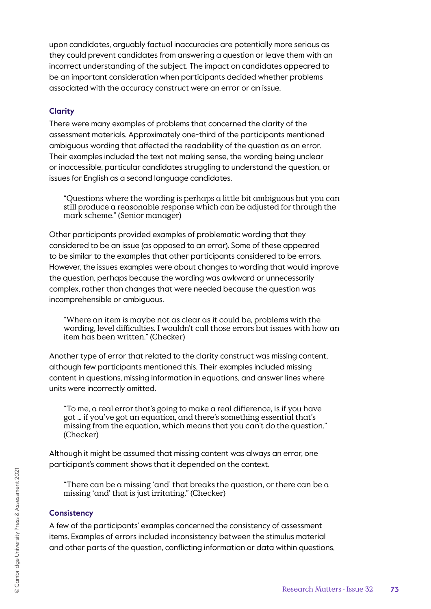upon candidates, arguably factual inaccuracies are potentially more serious as they could prevent candidates from answering a question or leave them with an incorrect understanding of the subject. The impact on candidates appeared to be an important consideration when participants decided whether problems associated with the accuracy construct were an error or an issue.

#### **Clarity**

There were many examples of problems that concerned the clarity of the assessment materials. Approximately one-third of the participants mentioned ambiguous wording that affected the readability of the question as an error. Their examples included the text not making sense, the wording being unclear or inaccessible, particular candidates struggling to understand the question, or issues for English as a second language candidates.

"Questions where the wording is perhaps a little bit ambiguous but you can still produce a reasonable response which can be adjusted for through the mark scheme." (Senior manager)

Other participants provided examples of problematic wording that they considered to be an issue (as opposed to an error). Some of these appeared to be similar to the examples that other participants considered to be errors. However, the issues examples were about changes to wording that would improve the question, perhaps because the wording was awkward or unnecessarily complex, rather than changes that were needed because the question was incomprehensible or ambiguous.

"Where an item is maybe not as clear as it could be, problems with the wording, level difficulties. I wouldn't call those errors but issues with how an item has been written." (Checker)

Another type of error that related to the clarity construct was missing content, although few participants mentioned this. Their examples included missing content in questions, missing information in equations, and answer lines where units were incorrectly omitted.

"To me, a real error that's going to make a real difference, is if you have got … if you've got an equation, and there's something essential that's missing from the equation, which means that you can't do the question." (Checker)

Although it might be assumed that missing content was always an error, one participant's comment shows that it depended on the context.

"There can be a missing 'and' that breaks the question, or there can be a missing 'and' that is just irritating." (Checker)

#### **Consistency**

A few of the participants' examples concerned the consistency of assessment items. Examples of errors included inconsistency between the stimulus material and other parts of the question, conflicting information or data within questions,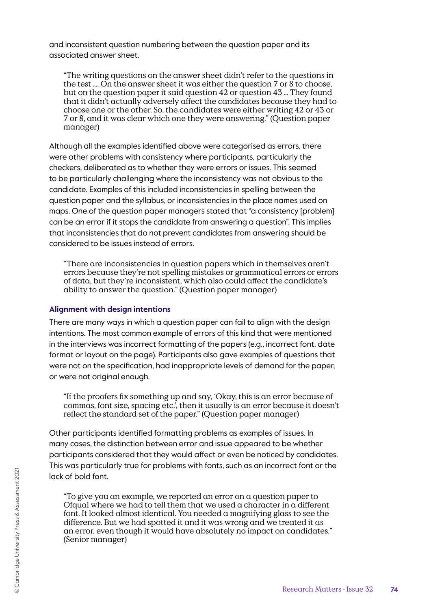and inconsistent question numbering between the question paper and its associated answer sheet.

"The writing questions on the answer sheet didn't refer to the questions in the test ... On the answer sheet it was either the question 7 or  $\dot{8}$  to choose, but on the question paper it said question 42 or question 43 … They found that it didn't actually adversely affect the candidates because they had to choose one or the other. So, the candidates were either writing 42 or 43 or 7 or 8, and it was clear which one they were answering." (Question paper manager)

Although all the examples identified above were categorised as errors, there were other problems with consistency where participants, particularly the checkers, deliberated as to whether they were errors or issues. This seemed to be particularly challenging where the inconsistency was not obvious to the candidate. Examples of this included inconsistencies in spelling between the question paper and the syllabus, or inconsistencies in the place names used on maps. One of the question paper managers stated that "a consistency [problem] can be an error if it stops the candidate from answering a question". This implies that inconsistencies that do not prevent candidates from answering should be considered to be issues instead of errors.

"There are inconsistencies in question papers which in themselves aren't errors because they're not spelling mistakes or grammatical errors or errors of data, but they're inconsistent, which also could affect the candidate's ability to answer the question." (Question paper manager)

#### **Alignment with design intentions**

There are many ways in which a question paper can fail to align with the design intentions. The most common example of errors of this kind that were mentioned in the interviews was incorrect formatting of the papers (e.g., incorrect font, date format or layout on the page). Participants also gave examples of questions that were not on the specification, had inappropriate levels of demand for the paper, or were not original enough.

"If the proofers fix something up and say, 'Okay, this is an error because of commas, font size, spacing etc.', then it usually is an error because it doesn't reflect the standard set of the paper." (Question paper manager)

Other participants identified formatting problems as examples of issues. In many cases, the distinction between error and issue appeared to be whether participants considered that they would affect or even be noticed by candidates. This was particularly true for problems with fonts, such as an incorrect font or the lack of bold font.

"To give you an example, we reported an error on a question paper to Ofqual where we had to tell them that we used a character in a different font. It looked almost identical. You needed a magnifying glass to see the difference. But we had spotted it and it was wrong and we treated it as an error, even though it would have absolutely no impact on candidates." (Senior manager)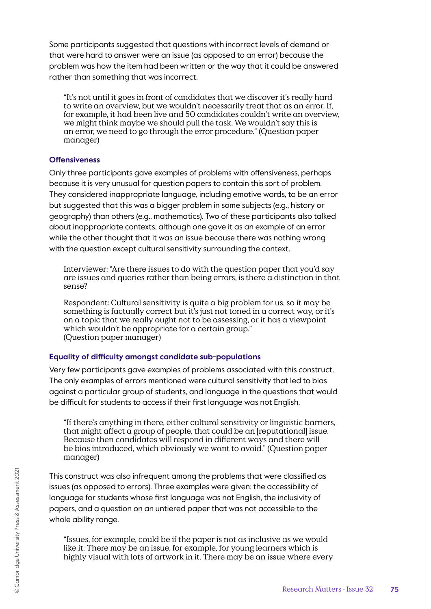Some participants suggested that questions with incorrect levels of demand or that were hard to answer were an issue (as opposed to an error) because the problem was how the item had been written or the way that it could be answered rather than something that was incorrect.

"It's not until it goes in front of candidates that we discover it's really hard to write an overview, but we wouldn't necessarily treat that as an error. If, for example, it had been live and 50 candidates couldn't write an overview, we might think maybe we should pull the task. We wouldn't say this is an error, we need to go through the error procedure." (Question paper manager)

#### **Offensiveness**

Only three participants gave examples of problems with offensiveness, perhaps because it is very unusual for question papers to contain this sort of problem. They considered inappropriate language, including emotive words, to be an error but suggested that this was a bigger problem in some subjects (e.g., history or geography) than others (e.g., mathematics). Two of these participants also talked about inappropriate contexts, although one gave it as an example of an error while the other thought that it was an issue because there was nothing wrong with the question except cultural sensitivity surrounding the context.

Interviewer: "Are there issues to do with the question paper that you'd say are issues and queries rather than being errors, is there a distinction in that sense?

Respondent: Cultural sensitivity is quite a big problem for us, so it may be something is factually correct but it's just not toned in a correct way, or it's on a topic that we really ought not to be assessing, or it has a viewpoint which wouldn't be appropriate for a certain group." (Question paper manager)

### **Equality of difficulty amongst candidate sub-populations**

Very few participants gave examples of problems associated with this construct. The only examples of errors mentioned were cultural sensitivity that led to bias against a particular group of students, and language in the questions that would be difficult for students to access if their first language was not English.

"If there's anything in there, either cultural sensitivity or linguistic barriers, that might affect  $\alpha$  group of people, that could be an [reputational] issue. Because then candidates will respond in different ways and there will be bias introduced, which obviously we want to avoid." (Question paper manager)

This construct was also infrequent among the problems that were classified as issues (as opposed to errors). Three examples were given: the accessibility of language for students whose first language was not English, the inclusivity of papers, and a question on an untiered paper that was not accessible to the whole ability range.

"Issues, for example, could be if the paper is not as inclusive as we would like it. There may be an issue, for example, for young learners which is highly visual with lots of artwork in it. There may be an issue where every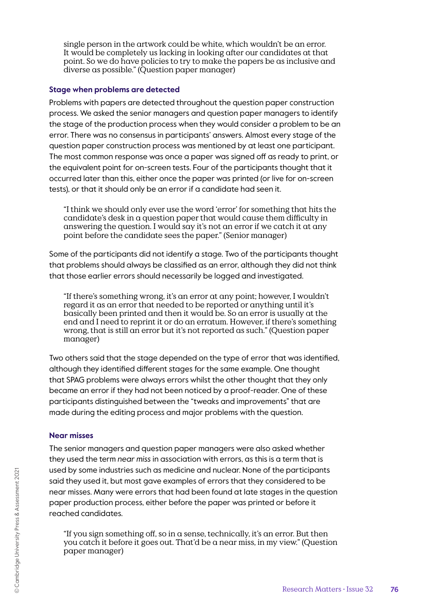single person in the artwork could be white, which wouldn't be an error. It would be completely us lacking in looking after our candidates at that point. So we do have policies to try to make the papers be as inclusive and diverse as possible." (Question paper manager)

#### **Stage when problems are detected**

Problems with papers are detected throughout the question paper construction process. We asked the senior managers and question paper managers to identify the stage of the production process when they would consider a problem to be an error. There was no consensus in participants' answers. Almost every stage of the question paper construction process was mentioned by at least one participant. The most common response was once a paper was signed off as ready to print, or the equivalent point for on-screen tests. Four of the participants thought that it occurred later than this, either once the paper was printed (or live for on-screen tests), or that it should only be an error if a candidate had seen it.

"I think we should only ever use the word 'error' for something that hits the candidate's desk in a question paper that would cause them difficulty in answering the question. I would say it's not an error if we catch it at any point before the candidate sees the paper." (Senior manager)

Some of the participants did not identify a stage. Two of the participants thought that problems should always be classified as an error, although they did not think that those earlier errors should necessarily be logged and investigated.

"If there's something wrong, it's an error at any point; however, I wouldn't regard it as an error that needed to be reported or anything until it's basically been printed and then it would be. So an error is usually at the end and I need to reprint it or do an erratum. However, if there's something wrong, that is still an error but it's not reported as such." (Question paper manager)

Two others said that the stage depended on the type of error that was identified, although they identified different stages for the same example. One thought that SPAG problems were always errors whilst the other thought that they only became an error if they had not been noticed by a proof-reader. One of these participants distinguished between the "tweaks and improvements" that are made during the editing process and major problems with the question.

#### **Near misses**

The senior managers and question paper managers were also asked whether they used the term *near miss* in association with errors, as this is a term that is used by some industries such as medicine and nuclear. None of the participants said they used it, but most gave examples of errors that they considered to be near misses. Many were errors that had been found at late stages in the question paper production process, either before the paper was printed or before it reached candidates.

"If you sign something off, so in a sense, technically, it's an error. But then you catch it before it goes out. That'd be a near miss, in my view." (Question paper manager)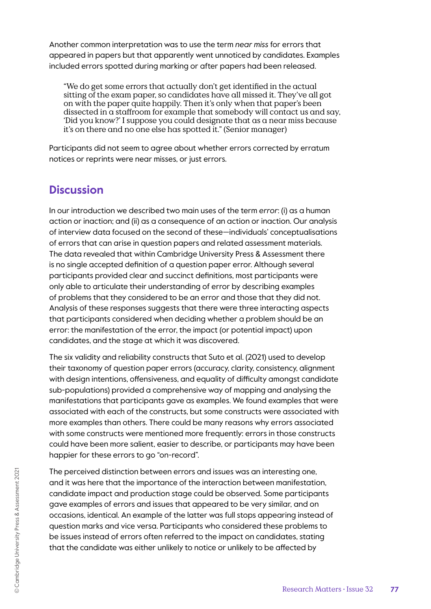Another common interpretation was to use the term *near miss* for errors that appeared in papers but that apparently went unnoticed by candidates. Examples included errors spotted during marking or after papers had been released.

"We do get some errors that actually don't get identified in the actual sitting of the exam paper, so candidates have all missed it. They've all got on with the paper quite happily. Then it's only when that paper's been dissected in a staffroom for example that somebody will contact us and say, 'Did you know?' I suppose you could designate that as a near miss because it's on there and no one else has spotted it." (Senior manager)

Participants did not seem to agree about whether errors corrected by erratum notices or reprints were near misses, or just errors.

# **Discussion**

In our introduction we described two main uses of the term *error*: (i) as a human action or inaction; and (ii) as a consequence of an action or inaction. Our analysis of interview data focused on the second of these—individuals' conceptualisations of errors that can arise in question papers and related assessment materials. The data revealed that within Cambridge University Press & Assessment there is no single accepted definition of a question paper error. Although several participants provided clear and succinct definitions, most participants were only able to articulate their understanding of error by describing examples of problems that they considered to be an error and those that they did not. Analysis of these responses suggests that there were three interacting aspects that participants considered when deciding whether a problem should be an error: the manifestation of the error, the impact (or potential impact) upon candidates, and the stage at which it was discovered.

The six validity and reliability constructs that Suto et al. (2021) used to develop their taxonomy of question paper errors (accuracy, clarity, consistency, alignment with design intentions, offensiveness, and equality of difficulty amongst candidate sub-populations) provided a comprehensive way of mapping and analysing the manifestations that participants gave as examples. We found examples that were associated with each of the constructs, but some constructs were associated with more examples than others. There could be many reasons why errors associated with some constructs were mentioned more frequently: errors in those constructs could have been more salient, easier to describe, or participants may have been happier for these errors to go "on-record".

The perceived distinction between errors and issues was an interesting one, and it was here that the importance of the interaction between manifestation, candidate impact and production stage could be observed. Some participants gave examples of errors and issues that appeared to be very similar, and on occasions, identical. An example of the latter was full stops appearing instead of question marks and vice versa. Participants who considered these problems to be issues instead of errors often referred to the impact on candidates, stating that the candidate was either unlikely to notice or unlikely to be affected by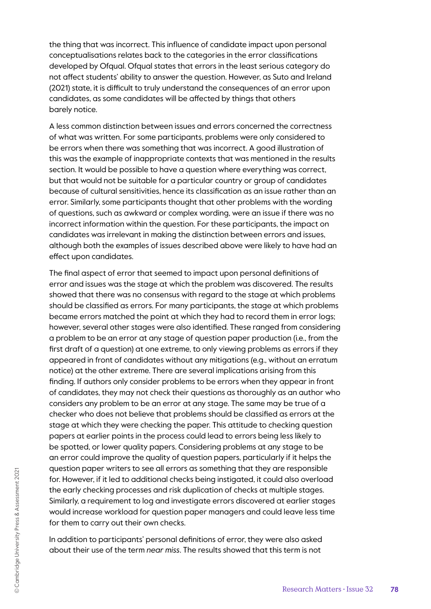the thing that was incorrect. This influence of candidate impact upon personal conceptualisations relates back to the categories in the error classifications developed by Ofqual. Ofqual states that errors in the least serious category do not affect students' ability to answer the question. However, as Suto and Ireland (2021) state, it is difficult to truly understand the consequences of an error upon candidates, as some candidates will be affected by things that others barely notice.

A less common distinction between issues and errors concerned the correctness of what was written. For some participants, problems were only considered to be errors when there was something that was incorrect. A good illustration of this was the example of inappropriate contexts that was mentioned in the results section. It would be possible to have a question where everything was correct, but that would not be suitable for a particular country or group of candidates because of cultural sensitivities, hence its classification as an issue rather than an error. Similarly, some participants thought that other problems with the wording of questions, such as awkward or complex wording, were an issue if there was no incorrect information within the question. For these participants, the impact on candidates was irrelevant in making the distinction between errors and issues, although both the examples of issues described above were likely to have had an effect upon candidates.

The final aspect of error that seemed to impact upon personal definitions of error and issues was the stage at which the problem was discovered. The results showed that there was no consensus with regard to the stage at which problems should be classified as errors. For many participants, the stage at which problems became errors matched the point at which they had to record them in error logs; however, several other stages were also identified. These ranged from considering a problem to be an error at any stage of question paper production (i.e., from the first draft of a question) at one extreme, to only viewing problems as errors if they appeared in front of candidates without any mitigations (e.g., without an erratum notice) at the other extreme. There are several implications arising from this finding. If authors only consider problems to be errors when they appear in front of candidates, they may not check their questions as thoroughly as an author who considers any problem to be an error at any stage. The same may be true of a checker who does not believe that problems should be classified as errors at the stage at which they were checking the paper. This attitude to checking question papers at earlier points in the process could lead to errors being less likely to be spotted, or lower quality papers. Considering problems at any stage to be an error could improve the quality of question papers, particularly if it helps the question paper writers to see all errors as something that they are responsible for. However, if it led to additional checks being instigated, it could also overload the early checking processes and risk duplication of checks at multiple stages. Similarly, a requirement to log and investigate errors discovered at earlier stages would increase workload for question paper managers and could leave less time for them to carry out their own checks.

In addition to participants' personal definitions of error, they were also asked about their use of the term *near miss*. The results showed that this term is not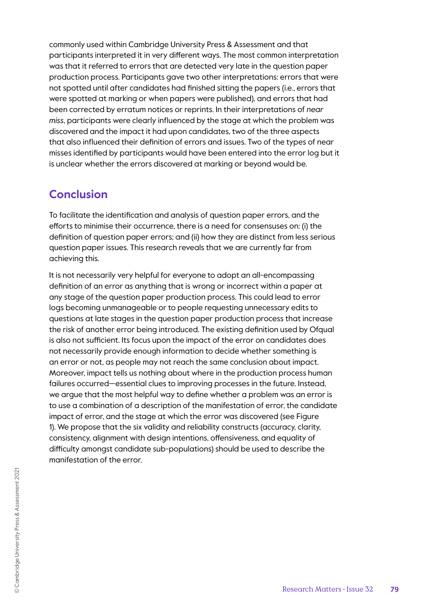commonly used within Cambridge University Press & Assessment and that participants interpreted it in very different ways. The most common interpretation was that it referred to errors that are detected very late in the question paper production process. Participants gave two other interpretations: errors that were not spotted until after candidates had finished sitting the papers (i.e., errors that were spotted at marking or when papers were published), and errors that had been corrected by erratum notices or reprints. In their interpretations of *near miss*, participants were clearly influenced by the stage at which the problem was discovered and the impact it had upon candidates, two of the three aspects that also influenced their definition of errors and issues. Two of the types of near misses identified by participants would have been entered into the error log but it is unclear whether the errors discovered at marking or beyond would be.

# **Conclusion**

To facilitate the identification and analysis of question paper errors, and the efforts to minimise their occurrence, there is a need for consensuses on: (i) the definition of question paper errors; and (ii) how they are distinct from less serious question paper issues. This research reveals that we are currently far from achieving this.

It is not necessarily very helpful for everyone to adopt an all-encompassing definition of an error as anything that is wrong or incorrect within a paper at any stage of the question paper production process. This could lead to error logs becoming unmanageable or to people requesting unnecessary edits to questions at late stages in the question paper production process that increase the risk of another error being introduced. The existing definition used by Ofqual is also not sufficient. Its focus upon the impact of the error on candidates does not necessarily provide enough information to decide whether something is an error or not, as people may not reach the same conclusion about impact. Moreover, impact tells us nothing about where in the production process human failures occurred—essential clues to improving processes in the future. Instead, we argue that the most helpful way to define whether a problem was an error is to use a combination of a description of the manifestation of error, the candidate impact of error, and the stage at which the error was discovered (see Figure 1). We propose that the six validity and reliability constructs (accuracy, clarity, consistency, alignment with design intentions, offensiveness, and equality of difficulty amongst candidate sub-populations) should be used to describe the manifestation of the error.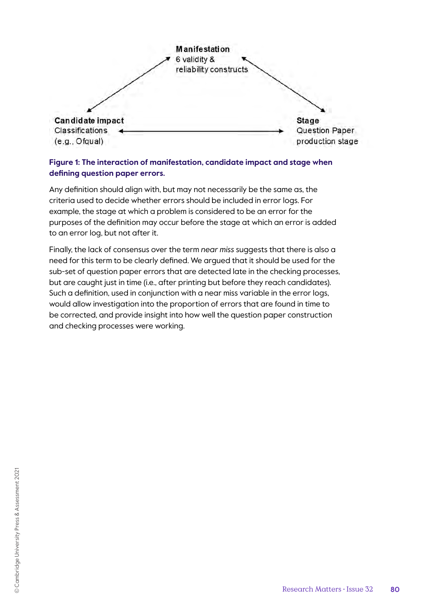

### **Figure 1: The interaction of manifestation, candidate impact and stage when defining question paper errors.**

Any definition should align with, but may not necessarily be the same as, the criteria used to decide whether errors should be included in error logs. For example, the stage at which a problem is considered to be an error for the purposes of the definition may occur before the stage at which an error is added to an error log, but not after it.

Finally, the lack of consensus over the term *near miss* suggests that there is also a need for this term to be clearly defined. We argued that it should be used for the sub-set of question paper errors that are detected late in the checking processes, but are caught just in time (i.e., after printing but before they reach candidates). Such a definition, used in conjunction with a near miss variable in the error logs, would allow investigation into the proportion of errors that are found in time to be corrected, and provide insight into how well the question paper construction and checking processes were working.